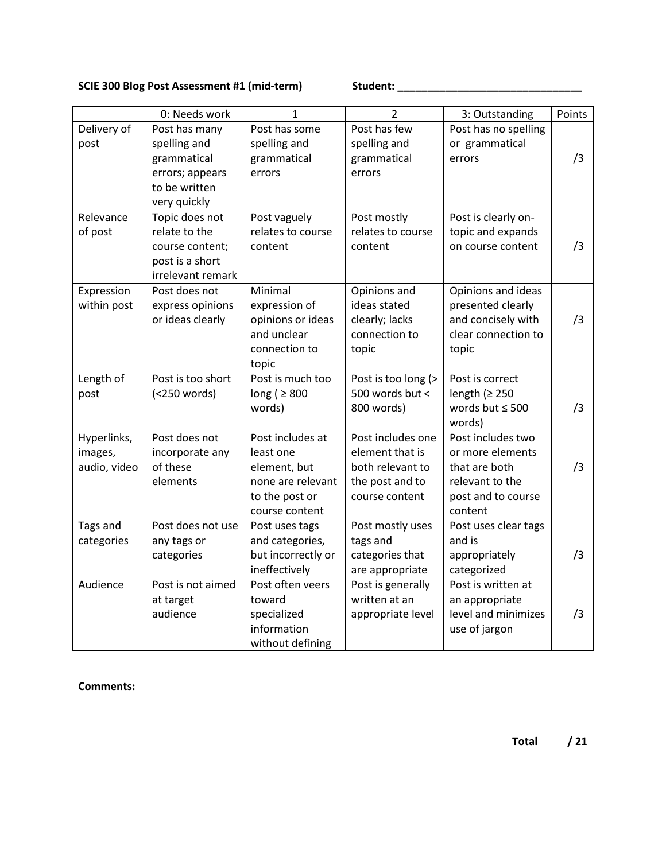## **SCIE 300 Blog Post Assessment #1 (mid-term) Student: \_\_\_\_\_\_\_\_\_\_\_\_\_\_\_\_\_\_\_\_\_\_\_\_\_\_\_\_\_\_\_**

|                                        | 0: Needs work                                                                                    | 1                                                                                                      | $\overline{2}$                                                                                | 3: Outstanding                                                                                             | Points |
|----------------------------------------|--------------------------------------------------------------------------------------------------|--------------------------------------------------------------------------------------------------------|-----------------------------------------------------------------------------------------------|------------------------------------------------------------------------------------------------------------|--------|
| Delivery of<br>post                    | Post has many<br>spelling and<br>grammatical<br>errors; appears<br>to be written<br>very quickly | Post has some<br>spelling and<br>grammatical<br>errors                                                 | Post has few<br>spelling and<br>grammatical<br>errors                                         | Post has no spelling<br>or grammatical<br>errors                                                           | /3     |
| Relevance<br>of post                   | Topic does not<br>relate to the<br>course content;<br>post is a short<br>irrelevant remark       | Post vaguely<br>relates to course<br>content                                                           | Post mostly<br>relates to course<br>content                                                   | Post is clearly on-<br>topic and expands<br>on course content                                              | /3     |
| Expression<br>within post              | Post does not<br>express opinions<br>or ideas clearly                                            | Minimal<br>expression of<br>opinions or ideas<br>and unclear<br>connection to<br>topic                 | Opinions and<br>ideas stated<br>clearly; lacks<br>connection to<br>topic                      | Opinions and ideas<br>presented clearly<br>and concisely with<br>clear connection to<br>topic              | /3     |
| Length of<br>post                      | Post is too short<br>(<250 words)                                                                | Post is much too<br>long ( $\geq 800$<br>words)                                                        | Post is too long (><br>500 words but <<br>800 words)                                          | Post is correct<br>length ( $\geq$ 250<br>words but $\leq 500$<br>words)                                   | /3     |
| Hyperlinks,<br>images,<br>audio, video | Post does not<br>incorporate any<br>of these<br>elements                                         | Post includes at<br>least one<br>element, but<br>none are relevant<br>to the post or<br>course content | Post includes one<br>element that is<br>both relevant to<br>the post and to<br>course content | Post includes two<br>or more elements<br>that are both<br>relevant to the<br>post and to course<br>content | /3     |
| Tags and<br>categories                 | Post does not use<br>any tags or<br>categories                                                   | Post uses tags<br>and categories,<br>but incorrectly or<br>ineffectively                               | Post mostly uses<br>tags and<br>categories that<br>are appropriate                            | Post uses clear tags<br>and is<br>appropriately<br>categorized                                             | /3     |
| Audience                               | Post is not aimed<br>at target<br>audience                                                       | Post often veers<br>toward<br>specialized<br>information<br>without defining                           | Post is generally<br>written at an<br>appropriate level                                       | Post is written at<br>an appropriate<br>level and minimizes<br>use of jargon                               | /3     |

## **Comments:**

**Total / 21**